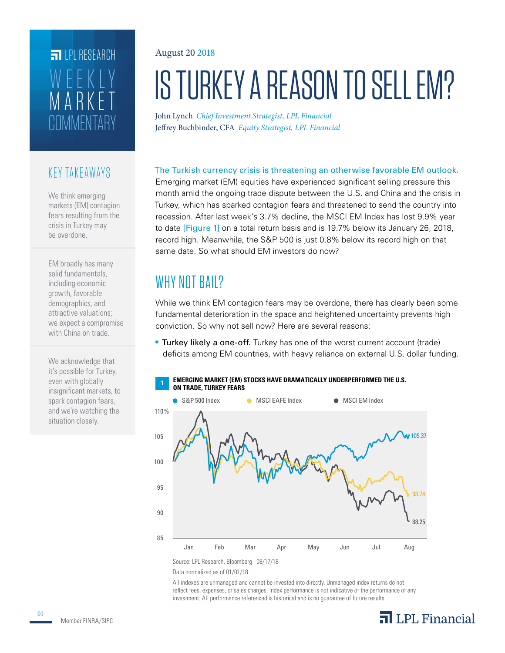# **COMMENTARY** MARKET WEEKLY **FILPI RESEARCH**

### KEY TAKEAWAYS

We think emerging markets (EM) contagion fears resulting from the crisis in Turkey may be overdone.

EM broadly has many solid fundamentals, including economic growth, favorable demographics, and attractive valuations; we expect a compromise with China on trade.

We acknowledge that it's possible for Turkey, even with globally insignificant markets, to spark contagion fears, and we're watching the situation closely.

#### August 20 2018

# IS TURKEY A REASON TO SELL EM?

John Lynch *Chief Investment Strategist, LPL Financial* Jeffrey Buchbinder, CFA *Equity Strategist, LPL Financial*

The Turkish currency crisis is threatening an otherwise favorable EM outlook.

Emerging market (EM) equities have experienced significant selling pressure this month amid the ongoing trade dispute between the U.S. and China and the crisis in Turkey, which has sparked contagion fears and threatened to send the country into recession. After last week's 3.7% decline, the MSCI EM Index has lost 9.9% year to date [Figure 1] on a total return basis and is 19.7% below its January 26, 2018, record high. Meanwhile, the S&P 500 is just 0.8% below its record high on that same date. So what should EM investors do now?

## WHY NOT BAIL?

While we think EM contagion fears may be overdone, there has clearly been some fundamental deterioration in the space and heightened uncertainty prevents high conviction. So why not sell now? Here are several reasons:

**Turkey likely a one-off.** Turkey has one of the worst current account (trade) deficits among EM countries, with heavy reliance on external U.S. dollar funding.



Source: LPL Research, Bloomberg 08/17/18

Data normalized as of 01/01/18.

All indexes are unmanaged and cannot be invested into directly. Unmanaged index returns do not reflect fees, expenses, or sales charges. Index performance is not indicative of the performance of any investment. All performance referenced is historical and is no guarantee of future results.

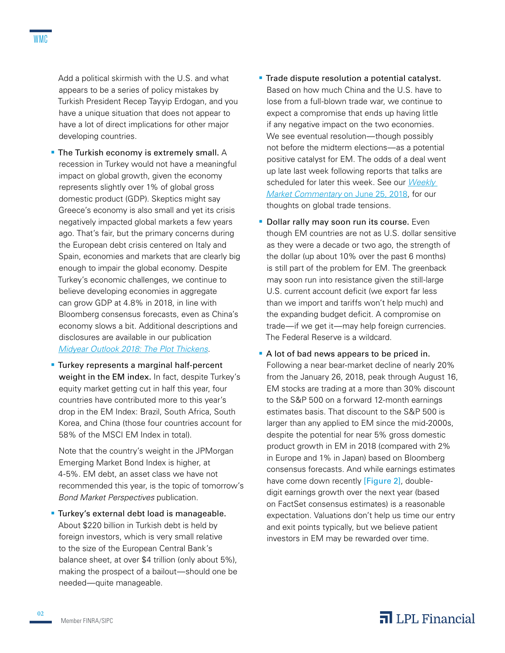Add a political skirmish with the U.S. and what appears to be a series of policy mistakes by Turkish President Recep Tayyip Erdogan, and you have a unique situation that does not appear to have a lot of direct implications for other major developing countries.

- **The Turkish economy is extremely small.** A recession in Turkey would not have a meaningful impact on global growth, given the economy represents slightly over 1% of global gross domestic product (GDP). Skeptics might say Greece's economy is also small and yet its crisis negatively impacted global markets a few years ago. That's fair, but the primary concerns during the European debt crisis centered on Italy and Spain, economies and markets that are clearly big enough to impair the global economy. Despite Turkey's economic challenges, we continue to believe developing economies in aggregate can grow GDP at 4.8% in 2018, in line with Bloomberg consensus forecasts, even as China's economy slows a bit. Additional descriptions and disclosures are available in our publication *[Midyear Outlook 2018: The Plot Thickens](http://lpl-research.com/outlook/2018/MYO_2018_Spreads.pdf)*.
- **Turkey represents a marginal half-percent** weight in the EM index. In fact, despite Turkey's equity market getting cut in half this year, four countries have contributed more to this year's drop in the EM Index: Brazil, South Africa, South Korea, and China (those four countries account for 58% of the MSCI EM Index in total).

Note that the country's weight in the JPMorgan Emerging Market Bond Index is higher, at 4-5%. EM debt, an asset class we have not recommended this year, is the topic of tomorrow's *Bond Market Perspectives* publication.

**Turkey's external debt load is manageable.** About \$220 billion in Turkish debt is held by foreign investors, which is very small relative to the size of the European Central Bank's balance sheet, at over \$4 trillion (only about 5%), making the prospect of a bailout—should one be needed—quite manageable.

- **Trade dispute resolution a potential catalyst.** Based on how much China and the U.S. have to lose from a full-blown trade war, we continue to expect a compromise that ends up having little if any negative impact on the two economies. We see eventual resolution—though possibly not before the midterm elections—as a potential positive catalyst for EM. The odds of a deal went up late last week following reports that talks are scheduled for later this week. See our *[Weekly](https://lpl-research.com/~rss/LPL_RSS_Feeds_Publications/WMC/Weekly_Market_Commentary_06252018.pdf)  [Market Commentary](https://lpl-research.com/~rss/LPL_RSS_Feeds_Publications/WMC/Weekly_Market_Commentary_06252018.pdf)* on June 25, 2018, for our thoughts on global trade tensions.
- **Dollar rally may soon run its course.** Even though EM countries are not as U.S. dollar sensitive as they were a decade or two ago, the strength of the dollar (up about 10% over the past 6 months) is still part of the problem for EM. The greenback may soon run into resistance given the still-large U.S. current account deficit (we export far less than we import and tariffs won't help much) and the expanding budget deficit. A compromise on trade—if we get it—may help foreign currencies. The Federal Reserve is a wildcard.
- A lot of bad news appears to be priced in. Following a near bear-market decline of nearly 20% from the January 26, 2018, peak through August 16, EM stocks are trading at a more than 30% discount to the S&P 500 on a forward 12-month earnings estimates basis. That discount to the S&P 500 is larger than any applied to EM since the mid-2000s, despite the potential for near 5% gross domestic product growth in EM in 2018 (compared with 2% in Europe and 1% in Japan) based on Bloomberg consensus forecasts. And while earnings estimates have come down recently [Figure 2], doubledigit earnings growth over the next year (based on FactSet consensus estimates) is a reasonable expectation. Valuations don't help us time our entry and exit points typically, but we believe patient investors in EM may be rewarded over time.

## $\overline{\mathbf{a}}$  LPL Financial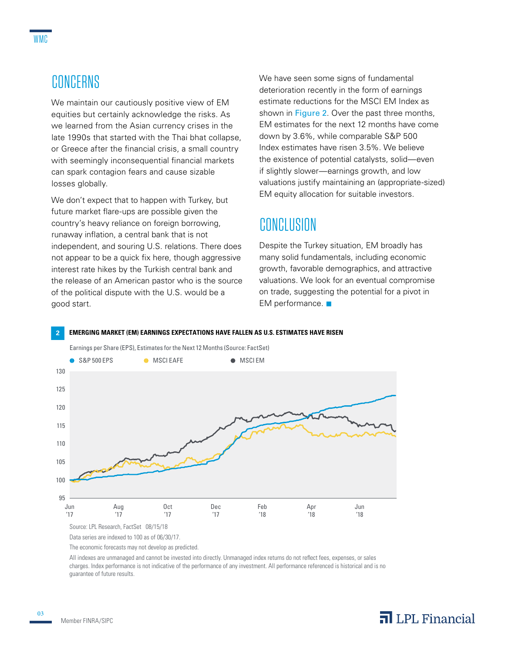We maintain our cautiously positive view of EM equities but certainly acknowledge the risks. As we learned from the Asian currency crises in the late 1990s that started with the Thai bhat collapse, or Greece after the financial crisis, a small country with seemingly inconsequential financial markets can spark contagion fears and cause sizable losses globally.

We don't expect that to happen with Turkey, but future market flare-ups are possible given the country's heavy reliance on foreign borrowing, runaway inflation, a central bank that is not independent, and souring U.S. relations. There does not appear to be a quick fix here, though aggressive interest rate hikes by the Turkish central bank and the release of an American pastor who is the source of the political dispute with the U.S. would be a good start.

We have seen some signs of fundamental deterioration recently in the form of earnings estimate reductions for the MSCI EM Index as shown in Figure 2. Over the past three months, EM estimates for the next 12 months have come down by 3.6%, while comparable S&P 500 Index estimates have risen 3.5%. We believe the existence of potential catalysts, solid—even if slightly slower—earnings growth, and low valuations justify maintaining an (appropriate-sized) EM equity allocation for suitable investors.

## **CONCLUSION**

Despite the Turkey situation, EM broadly has many solid fundamentals, including economic growth, favorable demographics, and attractive valuations. We look for an eventual compromise on trade, suggesting the potential for a pivot in EM performance.  $\blacksquare$ 

#### **2 EMERGING MARKET (EM) EARNINGS EXPECTATIONS HAVE FALLEN AS U.S. ESTIMATES HAVE RISEN**



The economic forecasts may not develop as predicted.

All indexes are unmanaged and cannot be invested into directly. Unmanaged index returns do not reflect fees, expenses, or sales charges. Index performance is not indicative of the performance of any investment. All performance referenced is historical and is no guarantee of future results.

03

## $\overline{\mathbf{a}}$  LPL Financial